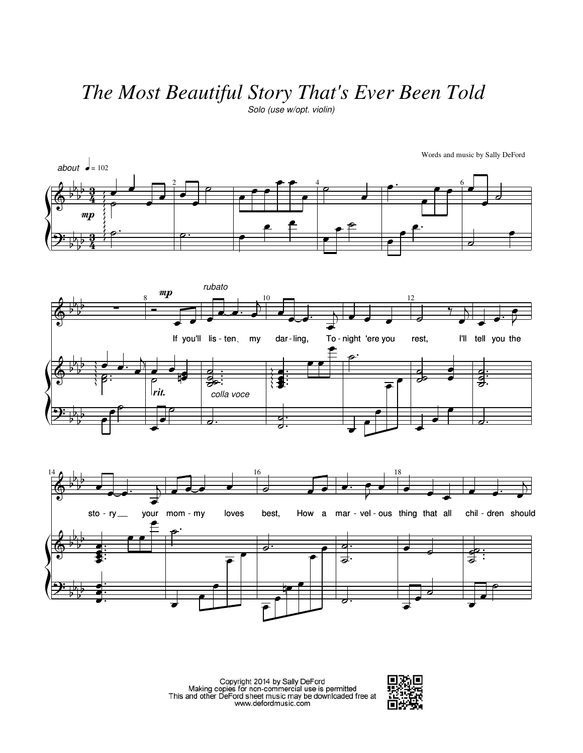## *The Most Beautiful Story That's Ever Been Told*

Solo (use w/opt. violin)







Copyright 2014 by Sally DeFord<br>Making copies for non-commercial use is permitted<br>This and other DeFord sheet music may be downloaded free at<br>www.defordmusic.com



Words and music by Sally DeFord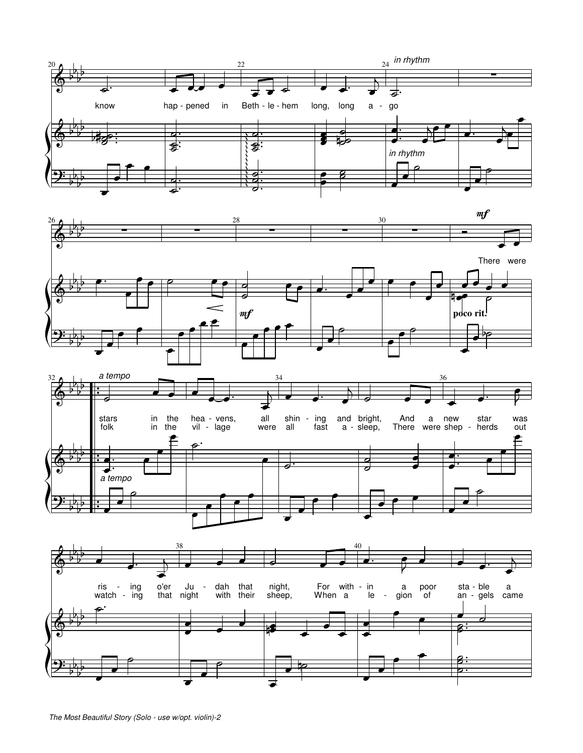





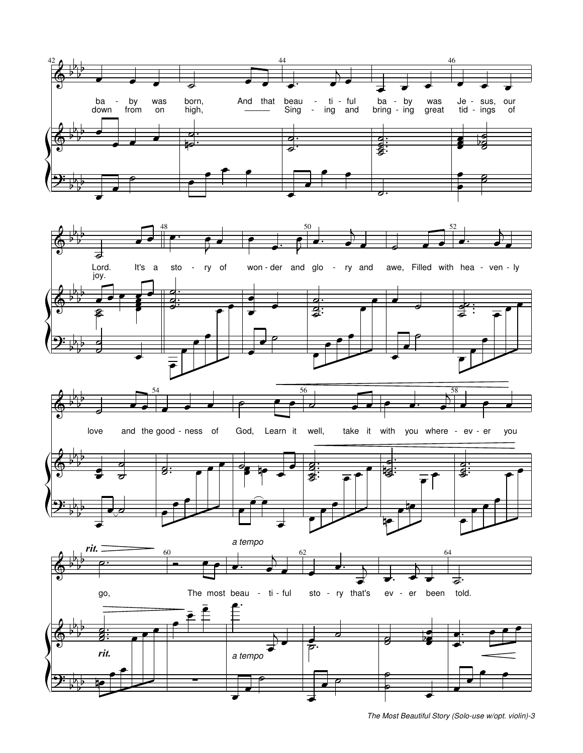

The Most Beautiful Story (Solo-use w/opt. violin)-3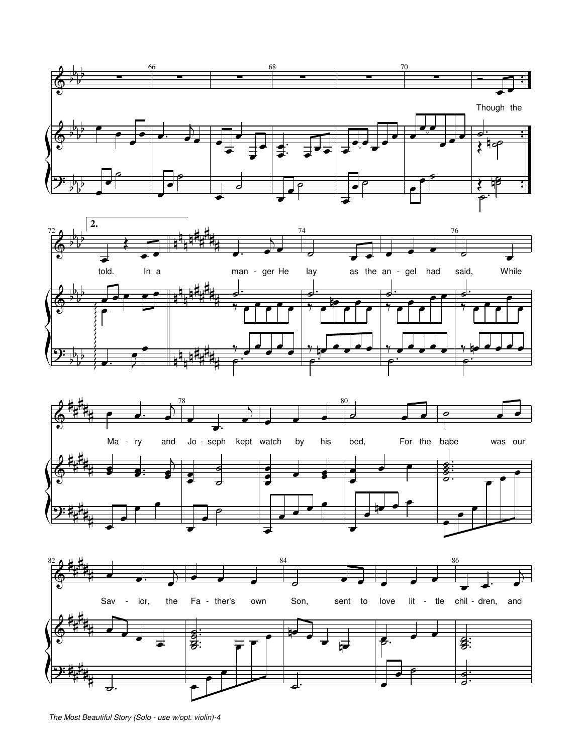







The Most Beautiful Story (Solo - use w/opt. violin)-4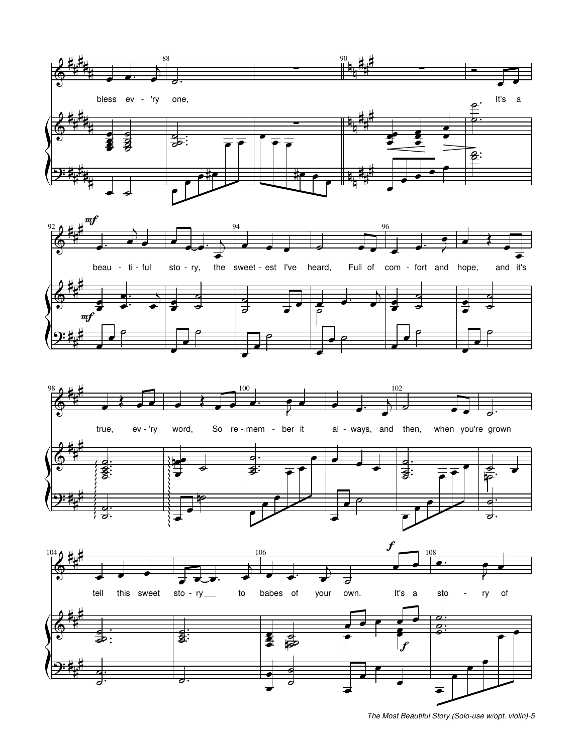







The Most Beautiful Story (Solo-use w/opt. violin)-5